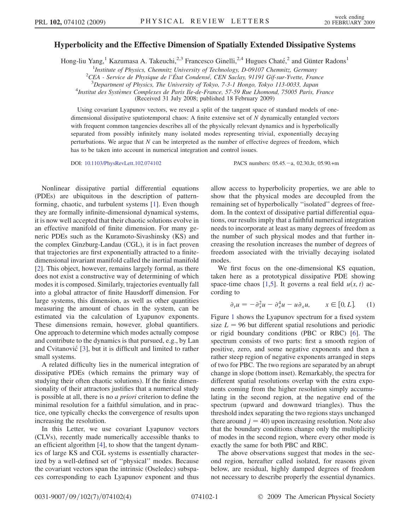## Hyperbolicity and the Effective Dimension of Spatially Extended Dissipative Systems

Hong-liu Yang,<sup>1</sup> Kazumasa A. Takeuchi,<sup>2,3</sup> Francesco Ginelli,<sup>2,4</sup> Hugues Chaté,<sup>2</sup> and Günter Radons<sup>1</sup>

<sup>1</sup>Institute of Physics, Chemnitz University of Technology, D-09107 Chemnitz, Germany<br><sup>2</sup>CEA Service de Physique de l'État Condensé, CEN Seclay, 91191 Gif sur Vyette, Fran

 ${}^{2}$ CEA - Service de Physique de l'État Condensé, CEN Saclay, 91191 Gif-sur-Yvette, France

 $3$ Department of Physics, The University of Tokyo, 7-3-1 Hongo, Tokyo 113-0033, Japan

<sup>4</sup>Institut des Systèmes Complexes de Paris Ile-de-France, 57-59 Rue Lhomond, 75005 Paris, France

(Received 31 July 2008; published 18 February 2009)

Using covariant Lyapunov vectors, we reveal a split of the tangent space of standard models of onedimensional dissipative spatiotemporal chaos: A finite extensive set of N dynamically entangled vectors with frequent common tangencies describes all of the physically relevant dynamics and is hyperbolically separated from possibly infinitely many isolated modes representing trivial, exponentially decaying perturbations. We argue that N can be interpreted as the number of effective degrees of freedom, which has to be taken into account in numerical integration and control issues.

DOI: [10.1103/PhysRevLett.102.074102](http://dx.doi.org/10.1103/PhysRevLett.102.074102) PACS numbers: 05.45. - a, 02.30.Jr, 05.90.+m

Nonlinear dissipative partial differential equations (PDEs) are ubiquitous in the description of patternforming, chaotic, and turbulent systems [1]. Even though they are formally infinite-dimensional dynamical systems, it is now well accepted that their chaotic solutions evolve in an effective manifold of finite dimension. For many generic PDEs such as the Kuramoto-Sivashinsky (KS) and the complex Ginzburg-Landau (CGL), it is in fact proven that trajectories are first exponentially attracted to a finitedimensional invariant manifold called the inertial manifold [2]. This object, however, remains largely formal, as there does not exist a constructive way of determining of which modes it is composed. Similarly, trajectories eventually fall into a global attractor of finite Hausdorff dimension. For large systems, this dimension, as well as other quantities measuring the amount of chaos in the system, can be estimated via the calculation of Lyapunov exponents. These dimensions remain, however, global quantifiers. One approach to determine which modes actually compose and contribute to the dynamics is that pursued, e.g., by Lan and Cvitanović [3], but it is difficult and limited to rather small systems.

A related difficulty lies in the numerical integration of dissipative PDEs (which remains the primary way of studying their often chaotic solutions). If the finite dimensionality of their attractors justifies that a numerical study is possible at all, there is no a priori criterion to define the minimal resolution for a faithful simulation, and in practice, one typically checks the convergence of results upon increasing the resolution.

In this Letter, we use covariant Lyapunov vectors (CLVs), recently made numerically accessible thanks to an efficient algorithm [4], to show that the tangent dynamics of large KS and CGL systems is essentially characterized by a well-defined set of ''physical'' modes. Because the covariant vectors span the intrinsic (Oseledec) subspaces corresponding to each Lyapunov exponent and thus allow access to hyperbolicity properties, we are able to show that the physical modes are decoupled from the remaining set of hyperbolically ''isolated'' degrees of freedom. In the context of dissipative partial differential equations, our results imply that a faithful numerical integration needs to incorporate at least as many degrees of freedom as the number of such physical modes and that further increasing the resolution increases the number of degrees of freedom associated with the trivially decaying isolated modes.

We first focus on the one-dimensional KS equation, taken here as a prototypical dissipative PDE showing space-time chaos [1,5]. It governs a real field  $u(x, t)$  according to

$$
\partial_t u = -\partial_x^2 u - \partial_x^4 u - u \partial_x u, \qquad x \in [0, L]. \tag{1}
$$

Figure [1](#page-1-0) shows the Lyapunov spectrum for a fixed system size  $L = 96$  but different spatial resolutions and periodic or rigid boundary conditions (PBC or RBC) [6]. The spectrum consists of two parts: first a smooth region of positive, zero, and some negative exponents and then a rather steep region of negative exponents arranged in steps of two for PBC. The two regions are separated by an abrupt change in slope (bottom inset). Remarkably, the spectra for different spatial resolutions overlap with the extra exponents coming from the higher resolution simply accumulating in the second region, at the negative end of the spectrum (upward and downward triangles). Thus the threshold index separating the two regions stays unchanged (here around  $j = 40$ ) upon increasing resolution. Note also that the boundary conditions change only the multiplicity of modes in the second region, where every other mode is exactly the same for both PBC and RBC.

The above observations suggest that modes in the second region, hereafter called isolated, for reasons given below, are residual, highly damped degrees of freedom not necessary to describe properly the essential dynamics.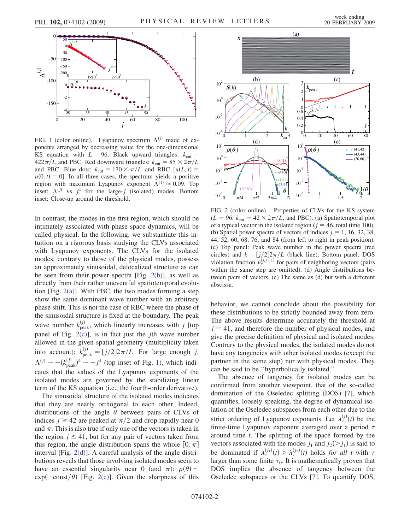<span id="page-1-0"></span>

FIG. 1 (color online). Lyapunov spectrum  $\Lambda^{(j)}$  made of exponents arranged by decreasing value for the one-dimensional KS equation with  $L = 96$ . Black upward triangles:  $k_{\text{cut}} =$ 422 $\pi/L$  and PBC. Red downward triangles:  $k_{\text{cut}} = 85 \times 2\pi/L$ and PBC. Blue dots:  $k_{\text{cut}} = 170 \times \pi/L$  and RBC  $[u(L, t) =$  $u(0, t) = 0$ ]. In all three cases, the spectrum yields a positive region with maximum Lyapunov exponent  $\Lambda^{(1)} \approx 0.09$ . Top inset:  $\Lambda^{(j)}$  vs  $j^4$  for the large-j (isolated) modes. Bottom inset: Close-up around the threshold.

In contrast, the modes in the first region, which should be intimately associated with phase space dynamics, will be called physical. In the following, we substantiate this intuition on a rigorous basis studying the CLVs associated with Lyapunov exponents. The CLVs for the isolated modes, contrary to those of the physical modes, possess an approximately sinusoidal, delocalized structure as can be seen from their power spectra [Fig.  $2(b)$ ], as well as directly from their rather uneventful spatiotemporal evolution [Fig.  $2(a)$ ]. With PBC, the two modes forming a step show the same dominant wave number with an arbitrary phase shift. This is not the case of RBC where the phase of the sinusoidal structure is fixed at the boundary. The peak wave number  $k_{\text{peak}}^{(j)}$ , which linearly increases with j [top panel of Fig. 2(c)], is in fact just the jth wave number allowed in the given spatial geometry (multiplicity taken into account):  $k_{\text{peak}}^{(j)} = [j/2]2\pi/L$ . For large enough j,  $\Lambda^{(j)} \sim -(k_{\text{peak}}^{(j)})^4 \sim -j^4$  (top inset of Fig. 1), which indicates that the values of the Lyapunov exponents of the isolated modes are governed by the stabilizing linear term of the KS equation (i.e., the fourth-order derivative).

The sinusoidal structure of the isolated modes indicates that they are nearly orthogonal to each other. Indeed, distributions of the angle  $\theta$  between pairs of CLVs of indices  $j \ge 42$  are peaked at  $\pi/2$  and drop rapidly near 0 and  $\pi$ . This is also true if only one of the vectors is taken in the region  $j \leq 41$ , but for any pair of vectors taken from this region, the angle distribution spans the whole  $[0, \pi]$ interval [Fig. 2(d)]. A careful analysis of the angle distributions reveals that those involving isolated modes seem to have an essential singularity near 0 (and  $\pi$ ):  $\rho(\theta) \sim$  $exp(-\text{const}/\theta)$  [Fig. 2(e)]. Given the sharpness of this



FIG. 2 (color online). Properties of CLVs for the KS system  $(L = 96, k<sub>cut</sub> = 42 \times 2\pi/L$ , and PBC). (a) Spatiotemporal plot of a typical vector in the isolated region ( $j = 46$ , total time 100). (b) Spatial power spectra of vectors of indices  $j = 1, 16, 32, 38$ , 44, 52, 60, 68, 76, and 84 (from left to right in peak position). (c) Top panel: Peak wave number in the power spectra (red circles) and  $k = [j/2]2\pi/L$  (black line). Bottom panel: DOS violation fraction  $\nu_{\tau}^{(j,j+1)}$  for pairs of neighboring vectors (pairs within the same step are omitted). (d) Angle distributions between pairs of vectors. (e) The same as (d) but with a different abscissa.

behavior, we cannot conclude about the possibility for these distributions to be strictly bounded away from zero. The above results determine accurately the threshold at  $j = 41$ , and therefore the number of physical modes, and give the precise definition of physical and isolated modes: Contrary to the physical modes, the isolated modes do not have any tangencies with other isolated modes (except the partner in the same step) nor with physical modes. They can be said to be ''hyperbolically isolated.''

The absence of tangency for isolated modes can be confirmed from another viewpoint, that of the so-called domination of the Oseledec splitting (DOS) [7], which quantifies, loosely speaking, the degree of dynamical isolation of the Oseledec subspaces from each other due to the strict ordering of Lyapunov exponents. Let  $\lambda_{\tau}^{(j)}(t)$  be the finite-time Lyapunov exponent averaged over a period  $\tau$ around time t. The splitting of the space formed by the vectors associated with the modes  $j_1$  and  $j_2(>j_1)$  is said to be dominated if  $\lambda_{\tau}^{(j_1)}(t) > \lambda_{\tau}^{(j_2)}(t)$  holds for all t with  $\tau$ larger than some finite  $\tau_0$ . It is mathematically proven that DOS implies the absence of tangency between the Oseledec subspaces or the CLVs [7]. To quantify DOS,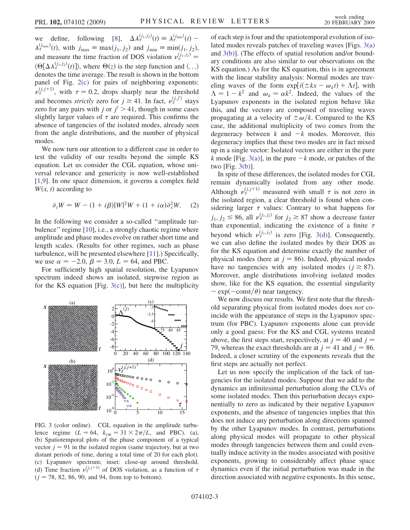we define, following [8],  $\Delta \lambda_{\tau}^{(j_1,j_2)}(t) = \lambda_{\tau}^{(j_{\min})}(t)$  –  $\lambda_{\tau}^{(j_{\text{max}})}(t)$ , with  $j_{\text{max}} \equiv \max(j_1, j_2)$  and  $j_{\text{min}} \equiv \min(j_1, j_2)$ , and measure the time fraction of DOS violation  $\nu_{\tau}^{(j_1,j_2)}$  =  $\langle \Theta[\Delta \lambda_{\tau}^{(j_1,j_2)}(t)] \rangle$ , where  $\Theta(z)$  is the step function and  $\langle \ldots \rangle$ denotes the time average. The result is shown in the bottom panel of Fig. [2\(c\)](#page-1-0) for pairs of neighboring exponents:  $\nu_{\tau}^{(j,j+1)}$ , with  $\tau = 0.2$ , drops sharply near the threshold and becomes *strictly* zero for  $j \ge 41$ . In fact,  $\nu_{\tau}^{(j,j')}$  stays zero for any pairs with j or  $j' > 41$ , though in some cases slightly larger values of  $\tau$  are required. This confirms the absence of tangencies of the isolated modes, already seen from the angle distributions, and the number of physical modes.

We now turn our attention to a different case in order to test the validity of our results beyond the simple KS equation. Let us consider the CGL equation, whose universal relevance and genericity is now well-established [1,9]. In one space dimension, it governs a complex field  $W(x, t)$  according to

$$
\partial_t W = W - (1 + i\beta)|W|^2 W + (1 + i\alpha)\partial_x^2 W. \tag{2}
$$

In the following we consider a so-called ''amplitude turbulence'' regime [10], i.e., a strongly chaotic regime where amplitude and phase modes evolve on rather short time and length scales. (Results for other regimes, such as phase turbulence, will be presented elsewhere [11].) Specifically, we use  $\alpha = -2.0, \beta = 3.0, L = 64, \text{ and } PBC$ .

For sufficiently high spatial resolution, the Lyapunov spectrum indeed shows an isolated, stepwise region as for the KS equation [Fig.  $3(c)$ ], but here the multiplicity



FIG. 3 (color online). CGL equation in the amplitude turbulence regime ( $L = 64$ ,  $k_{\text{cut}} = 31 \times 2\pi/L$ , and PBC). (a), (b) Spatiotemporal plots of the phase component of a typical vector  $j = 91$  in the isolated region (same trajectory, but at two distant periods of time, during a total time of 20 for each plot). (c) Lyapunov spectrum; inset: close-up around threshold. (d) Time fraction  $\nu_{\tau}^{(j,j+1)}$  of DOS violation, as a function of  $\tau$  $(j = 78, 82, 86, 90, \text{ and } 94, \text{ from top to bottom}).$ 

of each step is four and the spatiotemporal evolution of isolated modes reveals patches of traveling waves [Figs. 3(a) and 3(b)]. (The effects of spatial resolution and/or boundary conditions are also similar to our observations on the KS equation.) As for the KS equation, this is in agreement with the linear stability analysis: Normal modes are traveling waves of the form  $\exp[i(\pm kx - \omega_k t) + \Lambda t]$ , with  $\Lambda = 1 - k^2$  and  $\omega_k = \alpha k^2$ . Indeed, the values of the Lyapunov exponents in the isolated region behave like this, and the vectors are composed of traveling waves propagating at a velocity of  $\pm \omega/k$ . Compared to the KS case, the additional multiplicity of two comes from the degeneracy between  $k$  and  $-k$  modes. Moreover, this degeneracy implies that these two modes are in fact mixed up in a single vector: Isolated vectors are either in the pure k mode [Fig. 3(a)], in the pure  $-k$  mode, or patches of the two [Fig. 3(b)].

In spite of these differences, the isolated modes for CGL remain dynamically isolated from any other mode. Although  $\nu_{\tau}^{(j,j+1)}$  measured with small  $\tau$  is not zero in the isolated region, a clear threshold is found when considering larger  $\tau$  values: Contrary to what happens for  $j_1, j_2 \le 86$ , all  $\nu^{(j_1, j_2)}_{\tau}$  for  $j_2 \ge 87$  show a decrease faster than exponential, indicating the existence of a finite  $\tau$ beyond which  $\nu_{\tau}^{(j_1,j_2)}$  is zero [Fig. 3(d)]. Consequently, we can also define the isolated modes by their DOS as for the KS equation and determine exactly the number of physical modes (here at  $j = 86$ ). Indeed, physical modes have no tangencies with any isolated modes ( $j \ge 87$ ). Moreover, angle distributions involving isolated modes show, like for the KS equation, the essential singularity  $\sim \exp(-\text{const}/\theta)$  near tangency.

We now discuss our results. We first note that the threshold separating physical from isolated modes does not coincide with the appearance of steps in the Lyapunov spectrum (for PBC). Lyapunov exponents alone can provide only a good guess: For the KS and CGL systems treated above, the first steps start, respectively, at  $j = 40$  and  $j = 40$ 79, whereas the exact thresholds are at  $j = 41$  and  $j = 86$ . Indeed, a closer scrutiny of the exponents reveals that the first steps are actually not perfect.

Let us now specify the implication of the lack of tangencies for the isolated modes. Suppose that we add to the dynamics an infinitesimal perturbation along the CLVs of some isolated modes. Then this perturbation decays exponentially to zero as indicated by their negative Lyapunov exponents, and the absence of tangencies implies that this does not induce any perturbation along directions spanned by the other Lyapunov modes. In contrast, perturbations along physical modes will propagate to other physical modes through tangencies between them and could eventually induce activity in the modes associated with positive exponents, growing to considerably affect phase space dynamics even if the initial perturbation was made in the direction associated with negative exponents. In this sense,